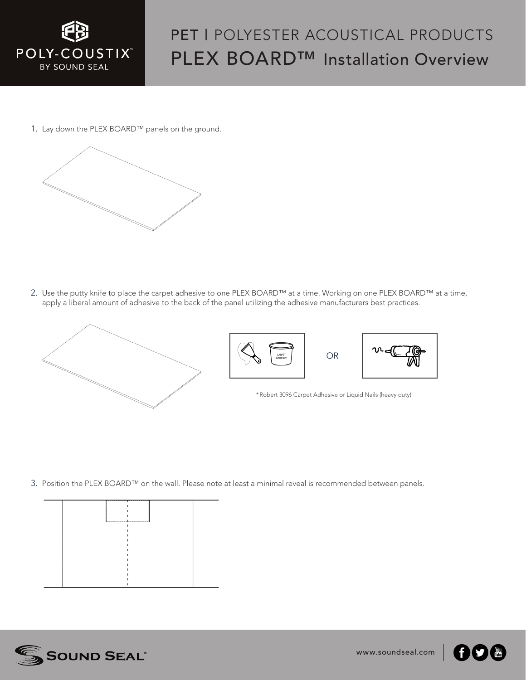

## PET I POLYESTER ACOUSTICAL PRODUCTS PLEX BOARD™ Installation Overview

1. Lay down the PLEX BOARD™ panels on the ground.



2. Use the putty knife to place the carpet adhesive to one PLEX BOARD™ at a time. Working on one PLEX BOARD™ at a time, apply a liberal amount of adhesive to the back of the panel utilizing the adhesive manufacturers best practices.







\*Robert 3096 Carpet Adhesive or Liquid Nails (heavy duty)

3. Position the PLEX BOARD™ on the wall. Please note at least a minimal reveal is recommended between panels.